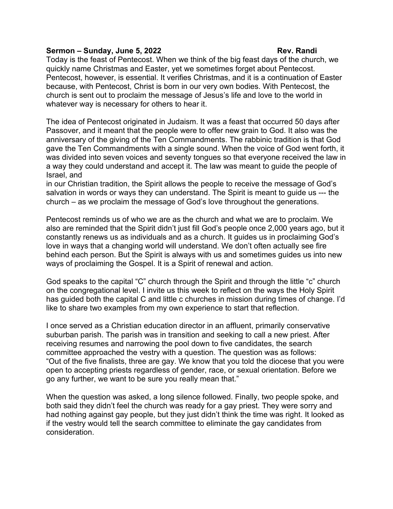## **Sermon – Sunday, June 5, 2022** Rev. Randi

Today is the feast of Pentecost. When we think of the big feast days of the church, we quickly name Christmas and Easter, yet we sometimes forget about Pentecost. Pentecost, however, is essential. It verifies Christmas, and it is a continuation of Easter because, with Pentecost, Christ is born in our very own bodies. With Pentecost, the church is sent out to proclaim the message of Jesus's life and love to the world in whatever way is necessary for others to hear it.

The idea of Pentecost originated in Judaism. It was a feast that occurred 50 days after Passover, and it meant that the people were to offer new grain to God. It also was the anniversary of the giving of the Ten Commandments. The rabbinic tradition is that God gave the Ten Commandments with a single sound. When the voice of God went forth, it was divided into seven voices and seventy tongues so that everyone received the law in a way they could understand and accept it. The law was meant to guide the people of Israel, and

in our Christian tradition, the Spirit allows the people to receive the message of God's salvation in words or ways they can understand. The Spirit is meant to guide us --- the church – as we proclaim the message of God's love throughout the generations.

Pentecost reminds us of who we are as the church and what we are to proclaim. We also are reminded that the Spirit didn't just fill God's people once 2,000 years ago, but it constantly renews us as individuals and as a church. It guides us in proclaiming God's love in ways that a changing world will understand. We don't often actually see fire behind each person. But the Spirit is always with us and sometimes guides us into new ways of proclaiming the Gospel. It is a Spirit of renewal and action.

God speaks to the capital "C" church through the Spirit and through the little "c" church on the congregational level. I invite us this week to reflect on the ways the Holy Spirit has guided both the capital C and little c churches in mission during times of change. I'd like to share two examples from my own experience to start that reflection.

I once served as a Christian education director in an affluent, primarily conservative suburban parish. The parish was in transition and seeking to call a new priest. After receiving resumes and narrowing the pool down to five candidates, the search committee approached the vestry with a question. The question was as follows: "Out of the five finalists, three are gay. We know that you told the diocese that you were open to accepting priests regardless of gender, race, or sexual orientation. Before we go any further, we want to be sure you really mean that."

When the question was asked, a long silence followed. Finally, two people spoke, and both said they didn't feel the church was ready for a gay priest. They were sorry and had nothing against gay people, but they just didn't think the time was right. It looked as if the vestry would tell the search committee to eliminate the gay candidates from consideration.